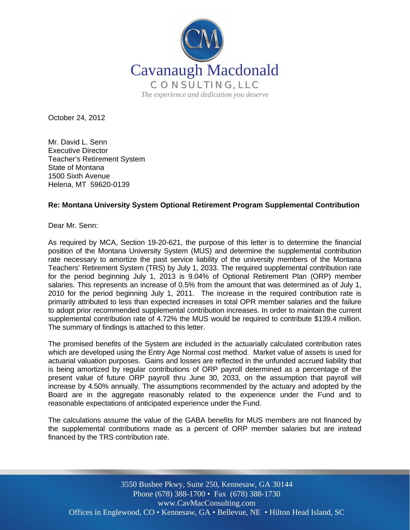

October 24, 2012

Mr. David L. Senn Executive Director Teacher's Retirement System State of Montana 1500 Sixth Avenue Helena, MT 59620-0139

## **Re: Montana University System Optional Retirement Program Supplemental Contribution**

Dear Mr. Senn:

As required by MCA, Section 19-20-621, the purpose of this letter is to determine the financial position of the Montana University System (MUS) and determine the supplemental contribution rate necessary to amortize the past service liability of the university members of the Montana Teachers' Retirement System (TRS) by July 1, 2033. The required supplemental contribution rate for the period beginning July 1, 2013 is 9.04% of Optional Retirement Plan (ORP) member salaries. This represents an increase of 0.5% from the amount that was determined as of July 1, 2010 for the period beginning July 1, 2011. The increase in the required contribution rate is primarily attributed to less than expected increases in total OPR member salaries and the failure to adopt prior recommended supplemental contribution increases. In order to maintain the current supplemental contribution rate of 4.72% the MUS would be required to contribute \$139.4 million. The summary of findings is attached to this letter.

The promised benefits of the System are included in the actuarially calculated contribution rates which are developed using the Entry Age Normal cost method. Market value of assets is used for actuarial valuation purposes. Gains and losses are reflected in the unfunded accrued liability that is being amortized by regular contributions of ORP payroll determined as a percentage of the present value of future ORP payroll thru June 30, 2033, on the assumption that payroll will increase by 4.50% annually. The assumptions recommended by the actuary and adopted by the Board are in the aggregate reasonably related to the experience under the Fund and to reasonable expectations of anticipated experience under the Fund.

The calculations assume the value of the GABA benefits for MUS members are not financed by the supplemental contributions made as a percent of ORP member salaries but are instead financed by the TRS contribution rate.

Offices in Englewood, CO · Kennesaw, GA · Bellevue, NE · Hilton Head Island, SC 3550 Busbee Pkwy, Suite 250, Kennesaw, GA 30144 Phone (678) 388-1700 • Fax (678) 388-1730 www.CavMacConsulting.com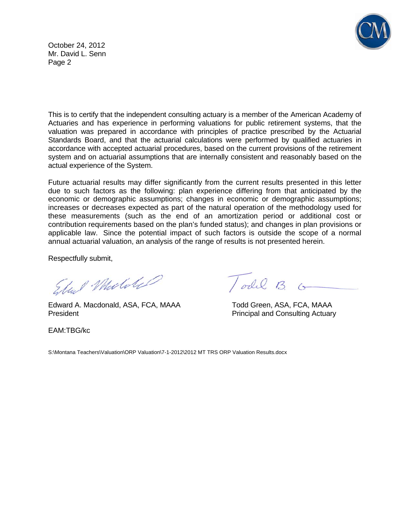October 24, 2012 Mr. David L. Senn Page 2

This is to certify that the independent consulting actuary is a member of the American Academy of Actuaries and has experience in performing valuations for public retirement systems, that the valuation was prepared in accordance with principles of practice prescribed by the Actuarial Standards Board, and that the actuarial calculations were performed by qualified actuaries in accordance with accepted actuarial procedures, based on the current provisions of the retirement system and on actuarial assumptions that are internally consistent and reasonably based on the actual experience of the System.

Future actuarial results may differ significantly from the current results presented in this letter due to such factors as the following: plan experience differing from that anticipated by the economic or demographic assumptions; changes in economic or demographic assumptions; increases or decreases expected as part of the natural operation of the methodology used for these measurements (such as the end of an amortization period or additional cost or contribution requirements based on the plan's funded status); and changes in plan provisions or applicable law. Since the potential impact of such factors is outside the scope of a normal annual actuarial valuation, an analysis of the range of results is not presented herein.

Respectfully submit,

Elect Mulike

 Edward A. Macdonald, ASA, FCA, MAAA Todd Green, ASA, FCA, MAAA President **President** Principal and Consulting Actuary

EAM:TBG/kc

Todil B. G

S:\Montana Teachers\Valuation\ORP Valuation\7-1-2012\2012 MT TRS ORP Valuation Results.docx